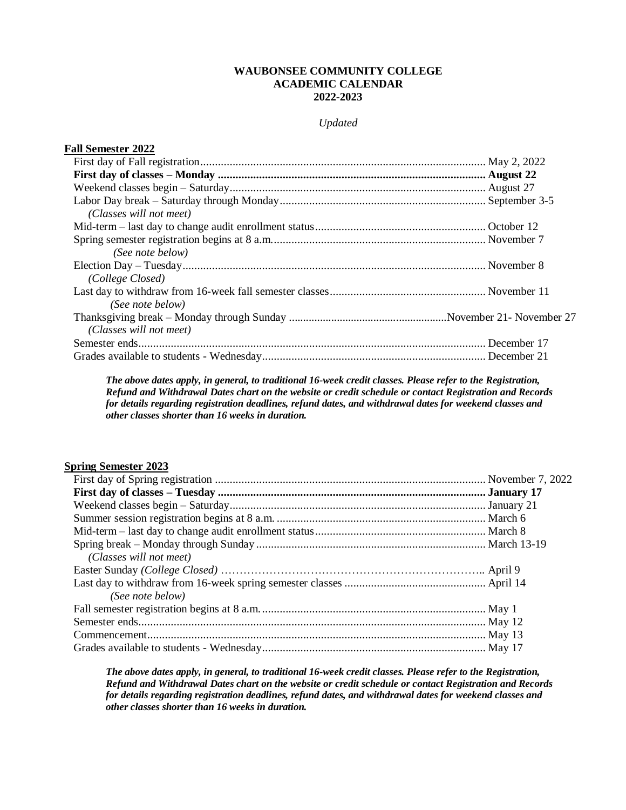## **WAUBONSEE COMMUNITY COLLEGE ACADEMIC CALENDAR 2022-2023**

## *Updated*

| <b>Fall Semester 2022</b> |  |
|---------------------------|--|
|                           |  |
|                           |  |
|                           |  |
|                           |  |
| (Classes will not meet)   |  |
|                           |  |
|                           |  |
| (See note below)          |  |
|                           |  |
| (College Closed)          |  |
|                           |  |
| (See note below)          |  |
|                           |  |
| (Classes will not meet)   |  |
|                           |  |
|                           |  |

*The above dates apply, in general, to traditional 16-week credit classes. Please refer to the Registration, Refund and Withdrawal Dates chart on the website or credit schedule or contact Registration and Records for details regarding registration deadlines, refund dates, and withdrawal dates for weekend classes and other classes shorter than 16 weeks in duration.* 

## **Spring Semester 2023**

| (Classes will not meet) |  |
|-------------------------|--|
|                         |  |
|                         |  |
| (See note below)        |  |
|                         |  |
|                         |  |
|                         |  |
|                         |  |

*The above dates apply, in general, to traditional 16-week credit classes. Please refer to the Registration, Refund and Withdrawal Dates chart on the website or credit schedule or contact Registration and Records for details regarding registration deadlines, refund dates, and withdrawal dates for weekend classes and other classes shorter than 16 weeks in duration.*